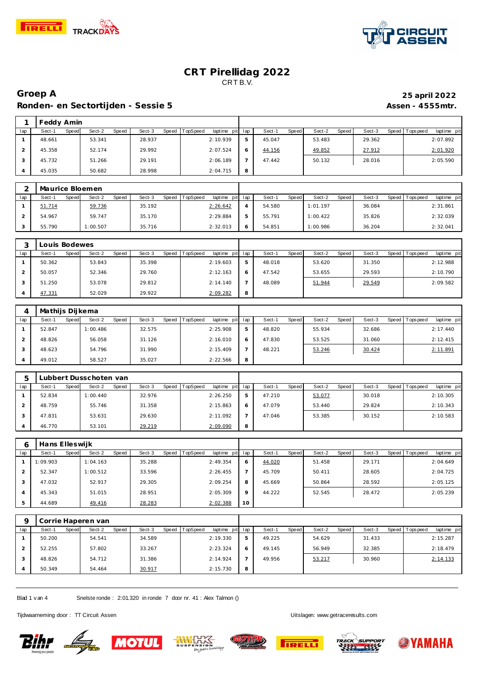



## **Groep A 25 april 2022** Ronden- en Sectortijden - Sessie 5 **Assen - 4555mtr.** Assen - 4555mtr.

|     | Feddy Amin |       |        |       |        |       |                 |             |     |        |       |        |       |        |                   |             |
|-----|------------|-------|--------|-------|--------|-------|-----------------|-------------|-----|--------|-------|--------|-------|--------|-------------------|-------------|
| lap | Sect-1     | Speed | Sect-2 | Speed | Sect-3 | Speed | <b>TopSpeed</b> | laptime pit | lap | Sect-1 | Speed | Sect-2 | Speed | Sect-3 | Speed   Tops peed | laptime pit |
|     | 48.661     |       | 53.341 |       | 28.937 |       |                 | 2:10.939    |     | 45.047 |       | 53.483 |       | 29.362 |                   | 2:07.892    |
|     | 45.358     |       | 52.174 |       | 29.992 |       |                 | 2:07.524    | O   | 44.156 |       | 49.852 |       | 27.912 |                   | 2:01.920    |
|     | 45.732     |       | 51.266 |       | 29.191 |       |                 | 2:06.189    |     | 47.442 |       | 50.132 |       | 28.016 |                   | 2:05.590    |
|     | 45.035     |       | 50.682 |       | 28.998 |       |                 | 2:04.715    | 8   |        |       |        |       |        |                   |             |

|     | Maurice Bloemen |                 |                 |                                    |        |              |                 |                   |          |             |
|-----|-----------------|-----------------|-----------------|------------------------------------|--------|--------------|-----------------|-------------------|----------|-------------|
| lap | Sect-1<br>Speed | Sect-2<br>Speed | Sect-3<br>Speed | <b>TopSpeed</b><br>laptime pit lap | Sect-1 | <b>Speed</b> | Sect-2<br>Speed | Sect-3<br>Speed I | Topspeed | laptime pit |
|     | 51.714          | 59.736          | 35.192          | 2:26.642                           | 54.580 |              | 1:01.197        | 36.084            |          | 2:31.861    |
|     | 54.967          | 59.747          | 35.170          | 2:29.884                           | 55.791 |              | 1:00.422        | 35.826            |          | 2:32.039    |
|     | 55.790          | 1:00.507        | 35.716          | 2:32.013                           | 54.851 |              | 1:00.986        | 36.204            |          | 2:32.041    |

|     | ouis Bodewes    |                 |                 |                                    |              |                 |                 |        |                               |
|-----|-----------------|-----------------|-----------------|------------------------------------|--------------|-----------------|-----------------|--------|-------------------------------|
| lap | Sect-1<br>Speed | Sect-2<br>Speed | Sect-3<br>Speed | <b>TopSpeed</b><br>laptime pit lap |              | Speed<br>Sect-1 | Sect-2<br>Speed | Sect-3 | laptime pit<br>Speed Topspeed |
|     | 50.362          | 53.843          | 35.398          | 2:19.603                           | 5            | 48.018          | 53.620          | 31.350 | 2:12.988                      |
|     | 50.057          | 52.346          | 29.760          | 2:12.163                           | <sub>0</sub> | 47.542          | 53.655          | 29.593 | 2:10.790                      |
|     | 51.250          | 53.078          | 29.812          | 2:14.140                           |              | 48.089          | 51.944          | 29.549 | 2:09.582                      |
|     | 47.331          | 52.029          | 29.922          | 2:09.282                           | 8            |                 |                 |        |                               |

|     | Mathijs Dijkema |          |       |        |                |             |     |        |       |        |       |        |                |             |
|-----|-----------------|----------|-------|--------|----------------|-------------|-----|--------|-------|--------|-------|--------|----------------|-------------|
| lap | Sect-1<br>Speed | Sect-2   | Speed | Sect-3 | Speed TopSpeed | laptime pit | lap | Sect-  | Speed | Sect-2 | Speed | Sect-3 | Speed Topspeed | laptime pit |
|     | 52.847          | 1:00.486 |       | 32.575 |                | 2:25.908    | 5   | 48.820 |       | 55.934 |       | 32.686 |                | 2:17.440    |
|     | 48.826          | 56.058   |       | 31.126 |                | 2:16.010    | 6   | 47.830 |       | 53.525 |       | 31.060 |                | 2:12.415    |
|     | 48.623          | 54.796   |       | 31.990 |                | 2:15.409    |     | 48.221 |       | 53.246 |       | 30.424 |                | 2:11.891    |
|     | 49.012          | 58.527   |       | 35.027 |                | 2:22.566    | 8   |        |       |        |       |        |                |             |

|     |                 | ubbert Dusschoten van . |        |                                   |              |                        |                 |                   |                           |
|-----|-----------------|-------------------------|--------|-----------------------------------|--------------|------------------------|-----------------|-------------------|---------------------------|
| lap | Speed<br>Sect-1 | Sect-2<br>Speed         | Sect-3 | Speed TopSpeed<br>laptime pit lap |              | <b>Speed</b><br>Sect-1 | Sect-2<br>Speed | Sect-3<br>Speed I | T ops peed<br>laptime pit |
|     | 52.834          | 1:00.440                | 32.976 | 2:26.250                          | 5            | 47.210                 | 53.077          | 30.018            | 2:10.305                  |
|     | 48.759          | 55.746                  | 31.358 | 2:15.863                          | <sup>6</sup> | 47.079                 | 53.440          | 29.824            | 2:10.343                  |
|     | 47.831          | 53.631                  | 29.630 | 2:11.092                          |              | 47.046                 | 53.385          | 30.152            | 2:10.583                  |
|     | 46.770          | 53.101                  | 29.219 | 2:09.090                          | 8            |                        |                 |                   |                           |

| <sub>6</sub>   | Hans Elleswijk |       |          |       |        |       |                 |             |         |        |       |        |       |        |                 |             |
|----------------|----------------|-------|----------|-------|--------|-------|-----------------|-------------|---------|--------|-------|--------|-------|--------|-----------------|-------------|
| lap            | Sect-1         | Speed | Sect-2   | Speed | Sect-3 | Speed | <b>TopSpeed</b> | laptime pit | lap     | Sect-1 | Speed | Sect-2 | Speed | Sect-3 | Speed Tops peed | laptime pit |
|                | 1:09.903       |       | 1:04.163 |       | 35.288 |       |                 | 2:49.354    | 6       | 44.020 |       | 51.458 |       | 29.171 |                 | 2:04.649    |
|                | 52.347         |       | 1:00.512 |       | 33.596 |       |                 | 2:26.455    |         | 45.709 |       | 50.411 |       | 28.605 |                 | 2:04.725    |
| 3              | 47.032         |       | 52.917   |       | 29.305 |       |                 | 2:09.254    | 8       | 45.669 |       | 50.864 |       | 28.592 |                 | 2:05.125    |
| $\overline{A}$ | 45.343         |       | 51.015   |       | 28.951 |       |                 | 2:05.309    | $\circ$ | 44.222 |       | 52.545 |       | 28.472 |                 | 2:05.239    |
| 5              | 44.689         |       | 49.416   |       | 28.283 |       |                 | 2:02.388    | 10      |        |       |        |       |        |                 |             |

|     | Corrie Haperen van |                 |        |                                   |   |                        |                 |                 |                         |
|-----|--------------------|-----------------|--------|-----------------------------------|---|------------------------|-----------------|-----------------|-------------------------|
| lap | Sect-1<br>Speed    | Sect-2<br>Speed | Sect-3 | Speed TopSpeed<br>laptime pit lap |   | <b>Speed</b><br>Sect-1 | Sect-2<br>Speed | Sect-3<br>Speed | Topspeed<br>laptime pit |
|     | 50.200             | 54.541          | 34.589 | 2:19.330                          | 5 | 49.225                 | 54.629          | 31.433          | 2:15.287                |
|     | 52.255             | 57.802          | 33.267 | 2:23.324                          | 6 | 49.145                 | 56.949          | 32.385          | 2:18.479                |
|     | 48.826             | 54.712          | 31.386 | 2:14.924                          |   | 49.956                 | 53.217          | 30.960          | 2:14.133                |
|     | 50.349             | 54.464          | 30.917 | 2:15.730                          | 8 |                        |                 |                 |                         |

Blad 1 v an 4 Snelste ronde : 2:01.320 in ronde 7 door nr. 41 : Alex Talmon ()

Tijdwaarneming door : TT Circuit Assen and the state of the state of the Uitslagen:<www.getraceresults.com>











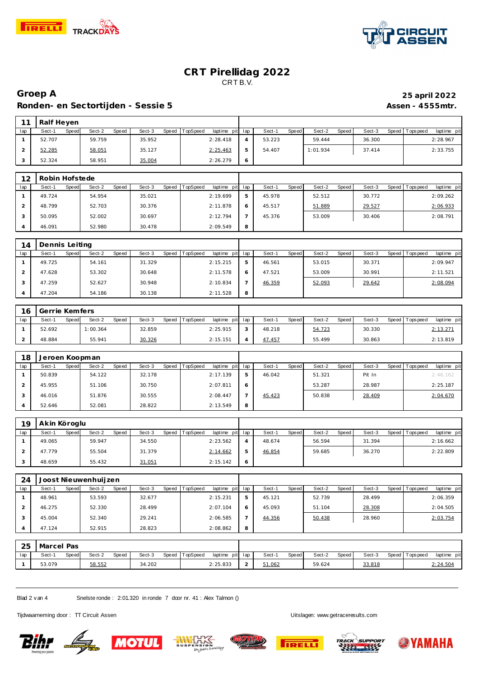



#### **Groep A 25 april 2022** Ronden- en Sectortijden - Sessie 5<br>
Assen - 4555mtr.

| 11             | Ralf Heyen     |       |          |       |        |              |          |             |                |        |              |          |              |        |       |                   |             |
|----------------|----------------|-------|----------|-------|--------|--------------|----------|-------------|----------------|--------|--------------|----------|--------------|--------|-------|-------------------|-------------|
| lap            | Sect-1         | Speed | Sect-2   | Speed | Sect-3 | <b>Speed</b> | TopSpeed | laptime pit | lap            | Sect-1 | Speed        | Sect-2   | Speed        | Sect-3 | Speed | Tops peed         | laptime pit |
| $\mathbf{1}$   | 52.707         |       | 59.759   |       | 35.952 |              |          | 2:28.418    | $\overline{4}$ | 53.223 |              | 59.444   |              | 36.300 |       |                   | 2:28.967    |
| $\overline{2}$ | 52.285         |       | 58.051   |       | 35.127 |              |          | 2:25.463    | 5              | 54.407 |              | 1:01.934 |              | 37.414 |       |                   | 2:33.755    |
| 3              | 52.324         |       | 58.951   |       | 35.004 |              |          | 2:26.279    | 6              |        |              |          |              |        |       |                   |             |
|                |                |       |          |       |        |              |          |             |                |        |              |          |              |        |       |                   |             |
| 12             | Robin Hofstede |       |          |       |        |              |          |             |                |        |              |          |              |        |       |                   |             |
| lap            | Sect-1         | Speed | Sect-2   | Speed | Sect-3 | Speed        | TopSpeed | laptime pit | lap            | Sect-1 | Speed        | Sect-2   | Speed        | Sect-3 |       | Speed   Tops peed | laptime pit |
| $\mathbf{1}$   | 49.724         |       | 54.954   |       | 35.021 |              |          | 2:19.699    | 5              | 45.978 |              | 52.512   |              | 30.772 |       |                   | 2:09.262    |
| $\overline{2}$ | 48.799         |       | 52.703   |       | 30.376 |              |          | 2:11.878    | 6              | 45.517 |              | 51.889   |              | 29.527 |       |                   | 2:06.933    |
| 3              | 50.095         |       | 52.002   |       | 30.697 |              |          | 2:12.794    | $\overline{7}$ | 45.376 |              | 53.009   |              | 30.406 |       |                   | 2:08.791    |
| 4              | 46.091         |       | 52.980   |       | 30.478 |              |          | 2:09.549    | 8              |        |              |          |              |        |       |                   |             |
|                |                |       |          |       |        |              |          |             |                |        |              |          |              |        |       |                   |             |
| 14             | Dennis Leiting |       |          |       |        |              |          |             |                |        |              |          |              |        |       |                   |             |
| lap            | Sect-1         | Speed | Sect-2   | Speed | Sect-3 | Speed        | TopSpeed | laptime pit | lap            | Sect-1 | Speed        | Sect-2   | Speed        | Sect-3 | Speed | Tops pee d        | laptime pit |
| $\mathbf{1}$   | 49.725         |       | 54.161   |       | 31.329 |              |          | 2:15.215    | 5              | 46.561 |              | 53.015   |              | 30.371 |       |                   | 2:09.947    |
| $\overline{2}$ | 47.628         |       | 53.302   |       | 30.648 |              |          | 2:11.578    | 6              | 47.521 |              | 53.009   |              | 30.991 |       |                   | 2:11.521    |
| 3              | 47.259         |       | 52.627   |       | 30.948 |              |          | 2:10.834    | $\overline{7}$ | 46.359 |              | 52.093   |              | 29.642 |       |                   | 2:08.094    |
| $\overline{4}$ | 47.204         |       | 54.186   |       | 30.138 |              |          | 2:11.528    | 8              |        |              |          |              |        |       |                   |             |
|                |                |       |          |       |        |              |          |             |                |        |              |          |              |        |       |                   |             |
| 16             | Gerrie Kemfers |       |          |       |        |              |          |             |                |        |              |          |              |        |       |                   |             |
| lap            | Sect-1         | Speed | Sect-2   | Speed | Sect-3 | Speed        | TopSpeed | laptime pit | lap            | Sect-1 | Speed        | Sect-2   | Speed        | Sect-3 | Speed | Tops pee d        | laptime pit |
| $\mathbf{1}$   | 52.692         |       | 1:00.364 |       | 32.859 |              |          | 2:25.915    | 3              | 48.218 |              | 54.723   |              | 30.330 |       |                   | 2:13.271    |
| $\overline{2}$ | 48.884         |       | 55.941   |       | 30.326 |              |          | 2:15.151    | $\overline{4}$ | 47.457 |              | 55.499   |              | 30.863 |       |                   | 2:13.819    |
|                |                |       |          |       |        |              |          |             |                |        |              |          |              |        |       |                   |             |
| 18             | Jeroen Koopman |       |          |       |        |              |          |             |                |        |              |          |              |        |       |                   |             |
| lap            | Sect-1         | Speed | Sect-2   | Speed | Sect-3 | <b>Speed</b> | TopSpeed | laptime pit | lap            | Sect-1 | <b>Speed</b> | Sect-2   | <b>Speed</b> | Sect-3 | Speed | T ops pee d       | laptime pit |
| $\mathbf{1}$   | 50.839         |       | 54.122   |       | 32.178 |              |          | 2:17.139    | 5              | 46.042 |              | 51.321   |              | Pit In |       |                   | 2:46.162    |
| $\overline{2}$ | 45.955         |       | 51.106   |       | 30.750 |              |          | 2:07.811    | 6              |        |              | 53.287   |              | 28.987 |       |                   | 2:25.187    |
| 3              | 46.016         |       | 51.876   |       | 30.555 |              |          | 2:08.447    | $\overline{7}$ | 45.423 |              | 50.838   |              | 28.409 |       |                   | 2:04.670    |
| 4              | 52.646         |       | 52.081   |       | 28.822 |              |          | 2:13.549    | 8              |        |              |          |              |        |       |                   |             |
|                |                |       |          |       |        |              |          |             |                |        |              |          |              |        |       |                   |             |
| 19             | Akin Köroglu   |       |          |       |        |              |          |             |                |        |              |          |              |        |       |                   |             |
| lap            | Sect-1         | Speed | Sect-2   | Speed | Sect-3 | Speed        | TopSpeed | laptime pit | lap            | Sect-1 | Speed        | Sect-2   | <b>Speed</b> | Sect-3 | Speed | T ops pee d       | laptime pit |
| $\mathbf{1}$   | 49.065         |       | 59.947   |       | 34.550 |              |          | 2:23.562    | $\overline{4}$ | 48.674 |              | 56.594   |              | 31.394 |       |                   | 2:16.662    |
| $\overline{2}$ | 47.779         |       | 55.504   |       | 31.379 |              |          | 2:14.662    | 5              | 46.854 |              | 59.685   |              | 36.270 |       |                   | 2:22.809    |
| 3              | 48.659         |       | 55.432   |       | 31.051 |              |          | 2:15.142    | 6              |        |              |          |              |        |       |                   |             |

| 24  |                 | Joost Nieuwenhuijzen |                 |                             |   |                 |                 |        |                                |
|-----|-----------------|----------------------|-----------------|-----------------------------|---|-----------------|-----------------|--------|--------------------------------|
| lap | Sect-1<br>Speed | Sect-2<br>Speed      | Sect-3<br>Speed | laptime pit lap<br>TopSpeed |   | Speed<br>Sect-1 | Speed<br>Sect-2 | Sect-3 | laptime pit<br>Speed Tops peed |
|     | 48.961          | 53.593               | 32.677          | 2:15.231                    | b | 45.121          | 52.739          | 28.499 | 2:06.359                       |
|     | 46.275          | 52.330               | 28.499          | 2:07.104                    | 6 | 45.093          | 51.104          | 28.308 | 2:04.505                       |
|     | 45.004          | 52.340               | 29.241          | 2:06.585                    |   | 44.356          | 50.438          | 28.960 | 2:03.754                       |
|     | 47.124          | 52.915               | 28.823          | 2:08.862                    | 8 |                 |                 |        |                                |

| 25  | Marcel Pas |       |        |       |        |       |          |          |         |        |       |        |       |        |       |          |             |
|-----|------------|-------|--------|-------|--------|-------|----------|----------|---------|--------|-------|--------|-------|--------|-------|----------|-------------|
| lap | Sect-      | Speed | Sect-2 | Speed | Sect-3 | Speed | TopSpeed | laptime  | pit lap | Sect-1 | Speed | Sect-2 | Speed | Sect-3 | Speed | Topspeed | laptime pit |
|     | 53.079     |       | 58.552 |       | 34.202 |       |          | 2:25.833 | -       | 51.062 |       | 59.624 |       | 33.818 |       |          | 2:24.504    |

Blad 2 v an 4 Snelste ronde : 2:01.320 in ronde 7 door nr. 41 : Alex Talmon ()

Tijdwaarneming door : TT Circuit Assen and the state of the state of the Uitslagen:<www.getraceresults.com>











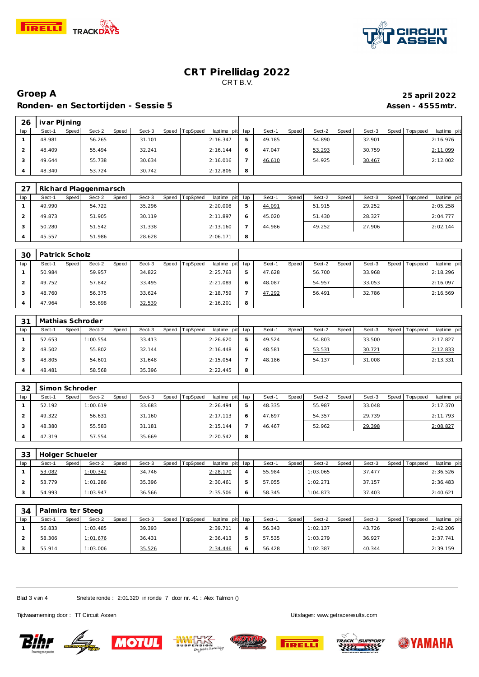



## **Groep A 25 april 2022** Ronden- en Sectortijden - Sessie 5 **Assen - 4555mtr.** Assen - 4555mtr.

| 26  | ivar Pijning |       |        |       |        |       |          |                 |   |        |       |        |       |        |                |             |
|-----|--------------|-------|--------|-------|--------|-------|----------|-----------------|---|--------|-------|--------|-------|--------|----------------|-------------|
| lap | Sect-1       | Speed | Sect-2 | Speed | Sect-3 | Speed | TopSpeed | laptime pit lap |   | Sect-1 | Speed | Sect-2 | Speed | Sect-3 | Speed Topspeed | laptime pit |
|     | 48.981       |       | 56.265 |       | 31.101 |       |          | 2:16.347        | 5 | 49.185 |       | 54.890 |       | 32.901 |                | 2:16.976    |
|     | 48.409       |       | 55.494 |       | 32.241 |       |          | 2:16.144        | 6 | 47.047 |       | 53.293 |       | 30.759 |                | 2:11.099    |
|     | 49.644       |       | 55.738 |       | 30.634 |       |          | 2:16.016        |   | 46.610 |       | 54.925 |       | 30.467 |                | 2:12.002    |
|     | 48.340       |       | 53.724 |       | 30.742 |       |          | 2:12.806        | 8 |        |       |        |       |        |                |             |

| 27  |                 | Richard Plaggenmarsch |                   |                                    |   |                 |                 |        |                                |
|-----|-----------------|-----------------------|-------------------|------------------------------------|---|-----------------|-----------------|--------|--------------------------------|
| lap | Sect-1<br>Speed | Sect-2<br>Speed       | Speed T<br>Sect-3 | <b>TopSpeed</b><br>laptime pit lap |   | Sect-1<br>Speed | Speed<br>Sect-2 | Sect-3 | Speed Tops peed<br>laptime pit |
|     | 49.990          | 54.722                | 35.296            | 2:20.008                           |   | 44.091          | 51.915          | 29.252 | 2:05.258                       |
|     | 49.873          | 51.905                | 30.119            | 2:11.897                           |   | 45.020          | 51.430          | 28.327 | 2:04.777                       |
|     | 50.280          | 51.542                | 31.338            | 2:13.160                           |   | 44.986          | 49.252          | 27.906 | 2:02.144                       |
|     | 45.557          | 51.986                | 28.628            | 2:06.171                           | 8 |                 |                 |        |                                |

| 30  | Patrick Scholz |                                 |                 |                         |     |                 |                   |        |                               |
|-----|----------------|---------------------------------|-----------------|-------------------------|-----|-----------------|-------------------|--------|-------------------------------|
| lap | Sect-1         | Sect-2<br><b>Speed</b><br>Speed | Sect-3<br>Speed | TopSpeed<br>laptime pit | lap | Sect-1<br>Speed | Speed  <br>Sect-2 | Sect-3 | Speed Topspeed<br>laptime pit |
|     | 50.984         | 59.957                          | 34.822          | 2:25.763                | 5   | 47.628          | 56.700            | 33.968 | 2:18.296                      |
|     | 49.752         | 57.842                          | 33.495          | 2:21.089                |     | 48.087          | 54.957            | 33.053 | 2:16.097                      |
|     | 48.760         | 56.375                          | 33.624          | 2:18.759                |     | 47.292          | 56.491            | 32.786 | 2:16.569                      |
|     | 47.964         | 55.698                          | 32.539          | 2:16.201                | 8   |                 |                   |        |                               |

| 31  |        | Mathias Schroder                |                 |                                    |   |                 |                 |                 |                          |
|-----|--------|---------------------------------|-----------------|------------------------------------|---|-----------------|-----------------|-----------------|--------------------------|
| lap | Sect-1 | Sect-2<br><b>Speed</b><br>Speed | Sect-3<br>Speed | <b>TopSpeed</b><br>laptime pit lap |   | Speed<br>Sect-1 | Sect-2<br>Speed | Sect-3<br>Speed | laptime pit<br>Tops peed |
|     | 52.653 | 1:00.554                        | 33.413          | 2:26.620                           |   | 49.524          | 54.803          | 33.500          | 2:17.827                 |
|     | 48.502 | 55.802                          | 32.144          | 2:16.448                           | Ô | 48.581          | 53.531          | 30.721          | 2:12.833                 |
|     | 48.805 | 54.601                          | 31.648          | 2:15.054                           |   | 48.186          | 54.137          | 31.008          | 2: 13.331                |
|     | 48.481 | 58.568                          | 35.396          | 2:22.445                           | 8 |                 |                 |                 |                          |

| 32  | Simon Schroder |                          |                 |                                |     |                 |                 |        |                                  |
|-----|----------------|--------------------------|-----------------|--------------------------------|-----|-----------------|-----------------|--------|----------------------------------|
| lap | Sect-1         | Sect-2<br>Speed<br>Speed | Sect-3<br>Speed | <b>TopSpeed</b><br>laptime pit | lap | Sect-1<br>Speed | Speed<br>Sect-2 | Sect-3 | Speed   Tops peed<br>laptime pit |
|     | 52.192         | 1:00.619                 | 33.683          | 2:26.494                       | 5   | 48.335          | 55.987          | 33.048 | 2:17.370                         |
|     | 49.322         | 56.631                   | 31.160          | 2:17.113                       |     | 47.697          | 54.357          | 29.739 | 2:11.793                         |
|     | 48.380         | 55.583                   | 31.181          | 2:15.144                       |     | 46.467          | 52.962          | 29.398 | 2:08.827                         |
|     | 47.319         | 57.554                   | 35.669          | 2:20.542                       | 8   |                 |                 |        |                                  |

| 33  | Holger Schueler |       |          |       |        |       |                 |                 |        |       |          |         |        |         |             |             |
|-----|-----------------|-------|----------|-------|--------|-------|-----------------|-----------------|--------|-------|----------|---------|--------|---------|-------------|-------------|
| lap | Sect-1          | Speed | Sect-2   | Speed | Sect-3 | Speed | <b>TopSpeed</b> | laptime pit lap | Sect-1 | Speed | Sect-2   | Speed I | Sect-3 | Speed I | T ops pee d | laptime pit |
|     | 53.082          |       | 1:00.342 |       | 34.746 |       |                 | 2:28.170        | 55.984 |       | 1:03.065 |         | 37.477 |         |             | 2:36.526    |
|     | 53.779          |       | 1:01.286 |       | 35.396 |       |                 | 2:30.461        | 57.055 |       | 1:02.271 |         | 37.157 |         |             | 2:36.483    |
|     | 54.993          |       | 1:03.947 |       | 36.566 |       |                 | 2:35.506        | 58.345 |       | 1:04.873 |         | 37.403 |         |             | 2:40.621    |

| 34  | Palmira ter Steeg |       |          |       |        |       |          |                 |        |       |          |       |        |         |            |             |
|-----|-------------------|-------|----------|-------|--------|-------|----------|-----------------|--------|-------|----------|-------|--------|---------|------------|-------------|
| lap | Sect-1            | Speed | Sect-2   | Speed | Sect-3 | Speed | TopSpeed | laptime pit lap | Sect-1 | Speed | Sect-2   | Speed | Sect-3 | Speed 1 | Tops pee d | laptime pit |
|     | 56.833            |       | 1:03.485 |       | 39.393 |       |          | 2:39.711        | 56.343 |       | 1:02.137 |       | 43.726 |         |            | 2:42.206    |
|     | 58.306            |       | 1:01.676 |       | 36.431 |       |          | 2:36.413        | 57.535 |       | 1:03.279 |       | 36.927 |         |            | 2:37.741    |
|     | 55.914            |       | 1:03.006 |       | 35.526 |       |          | 2:34.446        | 56.428 |       | 1:02.387 |       | 40.344 |         |            | 2:39.159    |

Blad 3 v an 4 Snelste ronde : 2:01.320 in ronde 7 door nr. 41 : Alex Talmon ()

Tijdwaarneming door : TT Circuit Assen Uitslagen:<www.getraceresults.com>